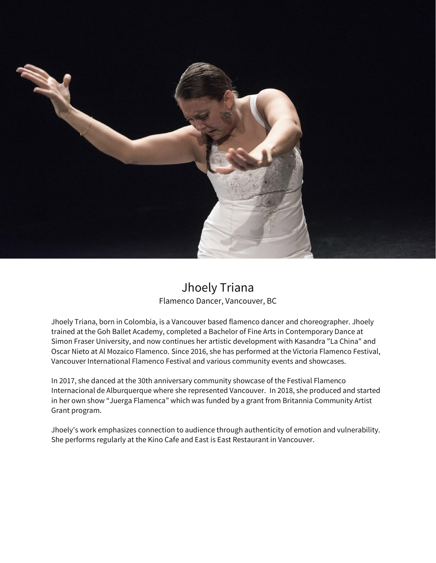

## Jhoely Triana Flamenco Dancer, Vancouver, BC

Jhoely Triana, born in Colombia, is a Vancouver based flamenco dancer and choreographer. Jhoely trained at the Goh Ballet Academy, completed a Bachelor of Fine Arts in Contemporary Dance at Simon Fraser University, and now continues her artistic development with Kasandra "La China" and Oscar Nieto at Al Mozaico Flamenco. Since 2016, she has performed at the Victoria Flamenco Festival, Vancouver International Flamenco Festival and various community events and showcases.

In 2017, she danced at the 30th anniversary community showcase of the Festival Flamenco Internacional de Alburquerque where she represented Vancouver. In 2018, she produced and started in her own show "Juerga Flamenca" which was funded by a grant from Britannia Community Artist Grant program.

Jhoely's work emphasizes connection to audience through authenticity of emotion and vulnerability. She performs regularly at the Kino Cafe and East is East Restaurant in Vancouver.